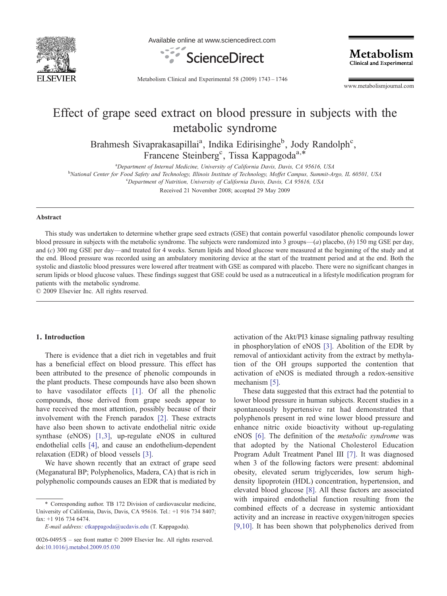

Available online at www.sciencedirect.com



Metabolism Clinical and Experimental

Metabolism Clinical and Experimental 58 (2009) 1743–1746

www.metabolismjournal.com

# Effect of grape seed extract on blood pressure in subjects with the metabolic syndrome

Brahmesh Sivaprakasapillai<sup>a</sup>, Indika Edirisinghe<sup>b</sup>, Jody Randolph<sup>c</sup>, Francene Steinberg<sup>c</sup>, Tissa Kappagoda<sup>a,\*</sup>

<sup>a</sup> Department of Internal Medicine, University of California Davis, Davis, CA 95616, USA<br>b National Captar for Eood Safety and Technology Illinois Institute of Technology Moffet Cappyus, Summit A

National Center for Food Safety and Technology, Illinois Institute of Technology, Moffet Campus, Summit-Argo, IL 60501, USA

<sup>c</sup>Department of Nutrition, University of California Davis, Davis, CA 95616, USA

Received 21 November 2008; accepted 29 May 2009

#### Abstract

This study was undertaken to determine whether grape seed extracts (GSE) that contain powerful vasodilator phenolic compounds lower blood pressure in subjects with the metabolic syndrome. The subjects were randomized into 3 groups— $(a)$  placebo,  $(b)$  150 mg GSE per day, and (c) 300 mg GSE per day—and treated for 4 weeks. Serum lipids and blood glucose were measured at the beginning of the study and at the end. Blood pressure was recorded using an ambulatory monitoring device at the start of the treatment period and at the end. Both the systolic and diastolic blood pressures were lowered after treatment with GSE as compared with placebo. There were no significant changes in serum lipids or blood glucose values. These findings suggest that GSE could be used as a nutraceutical in a lifestyle modification program for patients with the metabolic syndrome.

© 2009 Elsevier Inc. All rights reserved.

#### 1. Introduction

There is evidence that a diet rich in vegetables and fruit has a beneficial effect on blood pressure. This effect has been attributed to the presence of phenolic compounds in the plant products. These compounds have also been shown to have vasodilator effects [\[1\].](#page-3-0) Of all the phenolic compounds, those derived from grape seeds appear to have received the most attention, possibly because of their involvement with the French paradox [\[2\].](#page-3-0) These extracts have also been shown to activate endothelial nitric oxide synthase (eNOS) [\[1,3\]](#page-3-0), up-regulate eNOS in cultured endothelial cells [\[4\]](#page-3-0), and cause an endothelium-dependent relaxation (EDR) of blood vessels [\[3\]](#page-3-0).

We have shown recently that an extract of grape seed (Meganatural BP; Polyphenolics, Madera, CA) that is rich in polyphenolic compounds causes an EDR that is mediated by activation of the Akt/PI3 kinase signaling pathway resulting in phosphorylation of eNOS [\[3\]](#page-3-0). Abolition of the EDR by removal of antioxidant activity from the extract by methylation of the OH groups supported the contention that activation of eNOS is mediated through a redox-sensitive mechanism [\[5\]](#page-3-0).

These data suggested that this extract had the potential to lower blood pressure in human subjects. Recent studies in a spontaneously hypertensive rat had demonstrated that polyphenols present in red wine lower blood pressure and enhance nitric oxide bioactivity without up-regulating eNOS [\[6\].](#page-3-0) The definition of the metabolic syndrome was that adopted by the National Cholesterol Education Program Adult Treatment Panel III [\[7\].](#page-3-0) It was diagnosed when 3 of the following factors were present: abdominal obesity, elevated serum triglycerides, low serum highdensity lipoprotein (HDL) concentration, hypertension, and elevated blood glucose [\[8\]](#page-3-0). All these factors are associated with impaired endothelial function resulting from the combined effects of a decrease in systemic antioxidant activity and an increase in reactive oxygen/nitrogen species [\[9,10\].](#page-3-0) It has been shown that polyphenolics derived from

<sup>⁎</sup> Corresponding author. TB 172 Division of cardiovascular medicine, University of California, Davis, Davis, CA 95616. Tel.: +1 916 734 8407; fax: +1 916 734 6474.

E-mail address: [ctkappagoda@ucdavis.edu](mailto:ctkappagoda@ucdavis.edu) (T. Kappagoda).

<sup>0026-0495/\$</sup> – see front matter © 2009 Elsevier Inc. All rights reserved. doi[:10.1016/j.metabol.2009.05.030](http://dx.doi.org/10.1016/j.metabol.2009.05.030)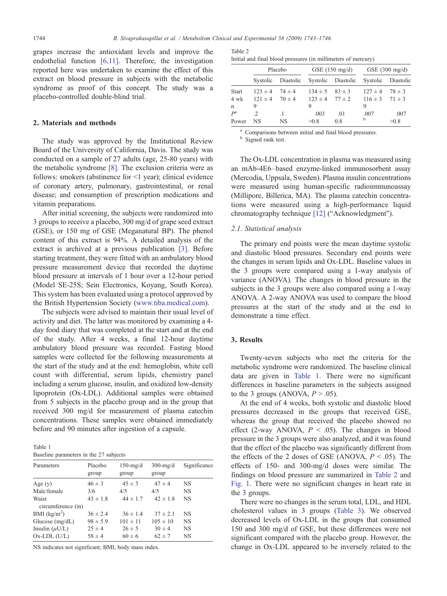grapes increase the antioxidant levels and improve the endothelial function [\[6,11\]](#page-3-0). Therefore, the investigation reported here was undertaken to examine the effect of this extract on blood pressure in subjects with the metabolic syndrome as proof of this concept. The study was a placebo-controlled double-blind trial.

#### 2. Materials and methods

The study was approved by the Institutional Review Board of the University of California, Davis. The study was conducted on a sample of 27 adults (age, 25-80 years) with the metabolic syndrome [\[8\].](#page-3-0) The exclusion criteria were as follows: smokers (abstinence for  $\leq 1$  year); clinical evidence of coronary artery, pulmonary, gastrointestinal, or renal disease; and consumption of prescription medications and vitamin preparations.

After initial screening, the subjects were randomized into 3 groups to receive a placebo, 300 mg/d of grape seed extract (GSE), or 150 mg of GSE (Meganatural BP). The phenol content of this extract is 94%. A detailed analysis of the extract is archived at a previous publication [\[3\].](#page-3-0) Before starting treatment, they were fitted with an ambulatory blood pressure measurement device that recorded the daytime blood pressure at intervals of 1 hour over a 12-hour period (Model SE-25S; Sein Electronics, Koyang, South Korea). This system has been evaluated using a protocol approved by the British Hypertension Society [\(www.tiba.medical.com\)](http://www.tiba.medical.com).

The subjects were advised to maintain their usual level of activity and diet. The latter was monitored by examining a 4 day food diary that was completed at the start and at the end of the study. After 4 weeks, a final 12-hour daytime ambulatory blood pressure was recorded. Fasting blood samples were collected for the following measurements at the start of the study and at the end: hemoglobin, white cell count with differential, serum lipids, chemistry panel including a serum glucose, insulin, and oxidized low-density lipoprotein (Ox-LDL). Additional samples were obtained from 5 subjects in the placebo group and in the group that received 300 mg/d for measurement of plasma catechin concentrations. These samples were obtained immediately before and 90 minutes after ingestion of a capsule.

Table 1 Baseline parameters in the 27 subjects

| Parameters                  | Placebo<br>group | $150$ -mg/d<br>group | $300$ -mg/d<br>group | Significance |
|-----------------------------|------------------|----------------------|----------------------|--------------|
| Age $(y)$                   | $46 \pm 3$       | $45 \pm 3$           | $47 \pm 4$           | NS           |
| Male/female                 | 3/6              | 4/5                  | 4/5                  | <b>NS</b>    |
| Waist<br>circumference (in) | $43 \pm 1.8$     | $44 \pm 1.7$         | $42 \pm 18$          | <b>NS</b>    |
| BMI $(kg/m2)$               | $36 \pm 2.4$     | $36 \pm 14$          | $37 \pm 2.1$         | NS           |
| Glucose $(mg/dL)$           | $98 \pm 5.9$     | $101 \pm 11$         | $105 \pm 10$         | <b>NS</b>    |
| Insulin $(\mu U/L)$         | $25 \pm 4$       | $26 \pm 5$           | $30 \pm 4$           | <b>NS</b>    |
| $Ox-LDL$ (U/L)              | $58 \pm 4$       | $60 \pm 6$           | $62 \pm 7$           | <b>NS</b>    |

NS indicates not significant; BMI, body mass index.

| Table 2 |                                                               |  |
|---------|---------------------------------------------------------------|--|
|         | Initial and final blood pressures (in millimeters of mercury) |  |

|              | Placebo                |            | GSE $(150 \text{ mg/d})$ |                                                          | GSE $(300 \text{ mg/d})$ |            |
|--------------|------------------------|------------|--------------------------|----------------------------------------------------------|--------------------------|------------|
|              |                        |            |                          | Systolic Diastolic Systolic Diastolic Systolic Diastolic |                          |            |
| <b>Start</b> | $123 \pm 4$            | $74 \pm 4$ | $134 \pm 5$ $83 \pm 3$   |                                                          | $127 \pm 4$              | $78 \pm 3$ |
| 4 wk         | $121 \pm 4$ $70 \pm 4$ |            | $123 \pm 4$ $77 \pm 2$   |                                                          | $116 \pm 3$ $71 \pm 3$   |            |
| $\mathbf n$  | 9                      |            | 9                        |                                                          | 9                        |            |
| $P^{\rm a}$  | .2                     | $\cdot$ 1  | .003                     | .01                                                      | .007                     | .007       |
| Power        | NS                     | NS.        | > 0.8                    | 0.8                                                      | b                        | >0.8       |

<sup>a</sup> Comparisons between initial and final blood pressures. <sup>b</sup> Signed rank test.

The Ox-LDL concentration in plasma was measured using an mAb-4E6–based enzyme-linked immunosorbent assay (Mercodia, Uppsala, Sweden). Plasma insulin concentrations were measured using human-specific radioimmunoassay (Millipore, Billerica, MA). The plasma catechin concentrations were measured using a high-performance liquid chromatography technique [\[12\]](#page-3-0) ("Acknowledgment").

#### 2.1. Statistical analysis

The primary end points were the mean daytime systolic and diastolic blood pressures. Secondary end points were the changes in serum lipids and Ox-LDL. Baseline values in the 3 groups were compared using a 1-way analysis of variance (ANOVA). The changes in blood pressure in the subjects in the 3 groups were also compared using a 1-way ANOVA. A 2-way ANOVA was used to compare the blood pressures at the start of the study and at the end to demonstrate a time effect.

## 3. Results

Twenty-seven subjects who met the criteria for the metabolic syndrome were randomized. The baseline clinical data are given in Table 1. There were no significant differences in baseline parameters in the subjects assigned to the 3 groups (ANOVA,  $P > .05$ ).

At the end of 4 weeks, both systolic and diastolic blood pressures decreased in the groups that received GSE, whereas the group that received the placebo showed no effect (2-way ANOVA,  $P < .05$ ). The changes in blood pressure in the 3 groups were also analyzed, and it was found that the effect of the placebo was significantly different from the effects of the 2 doses of GSE (ANOVA,  $P < .05$ ). The effects of 150- and 300-mg/d doses were similar. The findings on blood pressure are summarized in Table 2 and [Fig. 1.](#page-2-0) There were no significant changes in heart rate in the 3 groups.

There were no changes in the serum total, LDL, and HDL cholesterol values in 3 groups [\(Table 3](#page-2-0)). We observed decreased levels of Ox-LDL in the groups that consumed 150 and 300 mg/d of GSE, but these differences were not significant compared with the placebo group. However, the change in Ox-LDL appeared to be inversely related to the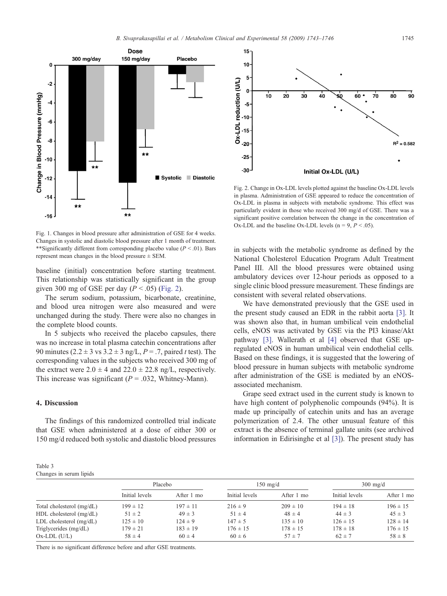<span id="page-2-0"></span>

Fig. 1. Changes in blood pressure after administration of GSE for 4 weeks. Changes in systolic and diastolic blood pressure after 1 month of treatment. *\*\**Significantly different from corresponding placebo value ( $P < .01$ ). Bars represent mean changes in the blood pressure ± SEM.

baseline (initial) concentration before starting treatment. This relationship was statistically significant in the group given 300 mg of GSE per day ( $P < .05$ ) (Fig. 2).

The serum sodium, potassium, bicarbonate, creatinine, and blood urea nitrogen were also measured and were unchanged during the study. There were also no changes in the complete blood counts.

In 5 subjects who received the placebo capsules, there was no increase in total plasma catechin concentrations after 90 minutes (2.2  $\pm$  3 vs 3.2  $\pm$  3 ng/L, P = .7, paired t test). The corresponding values in the subjects who received 300 mg of the extract were  $2.0 \pm 4$  and  $22.0 \pm 22.8$  ng/L, respectively. This increase was significant ( $P = .032$ , Whitney-Mann).

#### 4. Discussion

Table 3

Changes in serum lipids

The findings of this randomized controlled trial indicate that GSE when administered at a dose of either 300 or 150 mg/d reduced both systolic and diastolic blood pressures



Fig. 2. Change in Ox-LDL levels plotted against the baseline Ox-LDL levels in plasma. Administration of GSE appeared to reduce the concentration of Ox-LDL in plasma in subjects with metabolic syndrome. This effect was particularly evident in those who received 300 mg/d of GSE. There was a significant positive correlation between the change in the concentration of Ox-LDL and the baseline Ox-LDL levels ( $n = 9, P < .05$ ).

in subjects with the metabolic syndrome as defined by the National Cholesterol Education Program Adult Treatment Panel III. All the blood pressures were obtained using ambulatory devices over 12-hour periods as opposed to a single clinic blood pressure measurement. These findings are consistent with several related observations.

We have demonstrated previously that the GSE used in the present study caused an EDR in the rabbit aorta [\[3\]](#page-3-0). It was shown also that, in human umbilical vein endothelial cells, eNOS was activated by GSE via the PI3 kinase/Akt pathway [\[3\].](#page-3-0) Wallerath et al [\[4\]](#page-3-0) observed that GSE upregulated eNOS in human umbilical vein endothelial cells. Based on these findings, it is suggested that the lowering of blood pressure in human subjects with metabolic syndrome after administration of the GSE is mediated by an eNOSassociated mechanism.

Grape seed extract used in the current study is known to have high content of polyphenolic compounds (94%). It is made up principally of catechin units and has an average polymerization of 2.4. The other unusual feature of this extract is the absence of terminal gallate units (see archived information in Edirisinghe et al [\[3\]\)](#page-3-0). The present study has

|                           | Placebo        |              | $150 \text{ mg/d}$ |              | $300 \text{ mg/d}$ |              |
|---------------------------|----------------|--------------|--------------------|--------------|--------------------|--------------|
|                           | Initial levels | After 1 mo   | Initial levels     | After 1 mo   | Initial levels     | After 1 mo   |
| Total cholesterol (mg/dL) | $199 \pm 12$   | $197 \pm 11$ | $216 \pm 9$        | $209 \pm 10$ | $194 \pm 18$       | $196 \pm 15$ |
| HDL cholesterol (mg/dL)   | $51 \pm 2$     | $49 \pm 3$   | $51 \pm 4$         | $48 \pm 4$   | $44 \pm 3$         | $45 \pm 3$   |
| LDL cholesterol (mg/dL)   | $125 \pm 10$   | $124 \pm 9$  | $147 \pm 5$        | $135 \pm 10$ | $126 \pm 15$       | $128 \pm 14$ |
| Triglycerides (mg/dL)     | $179 \pm 21$   | $183 \pm 19$ | $176 \pm 15$       | $178 \pm 15$ | $178 \pm 18$       | $176 \pm 15$ |
| $Ox$ -LDL $(U/L)$         | $58 \pm 4$     | $60 \pm 4$   | $60 \pm 6$         | $57 + 7$     | $62 \pm 7$         | $58 \pm 8$   |

There is no significant difference before and after GSE treatments.